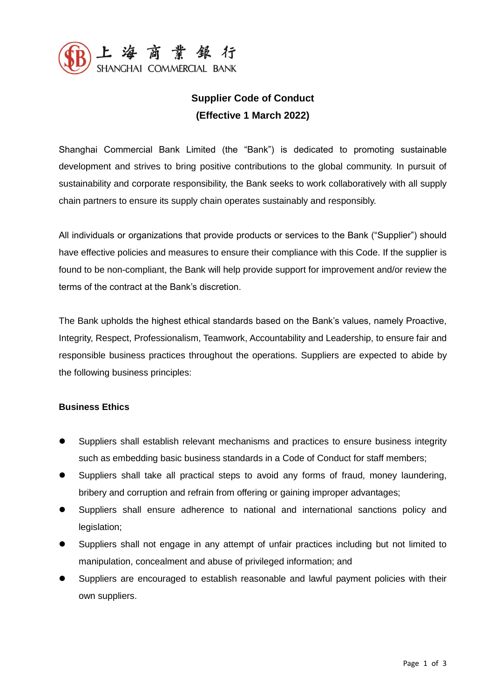

# **Supplier Code of Conduct (Effective 1 March 2022)**

Shanghai Commercial Bank Limited (the "Bank") is dedicated to promoting sustainable development and strives to bring positive contributions to the global community. In pursuit of sustainability and corporate responsibility, the Bank seeks to work collaboratively with all supply chain partners to ensure its supply chain operates sustainably and responsibly.

All individuals or organizations that provide products or services to the Bank ("Supplier") should have effective policies and measures to ensure their compliance with this Code. If the supplier is found to be non-compliant, the Bank will help provide support for improvement and/or review the terms of the contract at the Bank's discretion.

The Bank upholds the highest ethical standards based on the Bank's values, namely Proactive, Integrity, Respect, Professionalism, Teamwork, Accountability and Leadership, to ensure fair and responsible business practices throughout the operations. Suppliers are expected to abide by the following business principles:

## **Business Ethics**

- Suppliers shall establish relevant mechanisms and practices to ensure business integrity such as embedding basic business standards in a Code of Conduct for staff members;
- Suppliers shall take all practical steps to avoid any forms of fraud, money laundering, bribery and corruption and refrain from offering or gaining improper advantages;
- Suppliers shall ensure adherence to national and international sanctions policy and legislation;
- Suppliers shall not engage in any attempt of unfair practices including but not limited to manipulation, concealment and abuse of privileged information; and
- Suppliers are encouraged to establish reasonable and lawful payment policies with their own suppliers.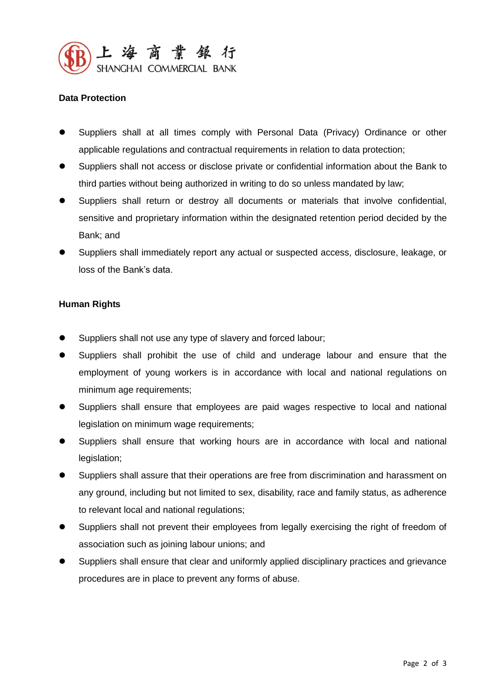

## **Data Protection**

- Suppliers shall at all times comply with Personal Data (Privacy) Ordinance or other applicable regulations and contractual requirements in relation to data protection;
- Suppliers shall not access or disclose private or confidential information about the Bank to third parties without being authorized in writing to do so unless mandated by law;
- Suppliers shall return or destroy all documents or materials that involve confidential, sensitive and proprietary information within the designated retention period decided by the Bank; and
- Suppliers shall immediately report any actual or suspected access, disclosure, leakage, or loss of the Bank's data.

## **Human Rights**

- Suppliers shall not use any type of slavery and forced labour;
- Suppliers shall prohibit the use of child and underage labour and ensure that the employment of young workers is in accordance with local and national regulations on minimum age requirements;
- Suppliers shall ensure that employees are paid wages respective to local and national legislation on minimum wage requirements;
- Suppliers shall ensure that working hours are in accordance with local and national legislation;
- Suppliers shall assure that their operations are free from discrimination and harassment on any ground, including but not limited to sex, disability, race and family status, as adherence to relevant local and national regulations;
- Suppliers shall not prevent their employees from legally exercising the right of freedom of association such as joining labour unions; and
- Suppliers shall ensure that clear and uniformly applied disciplinary practices and grievance procedures are in place to prevent any forms of abuse.